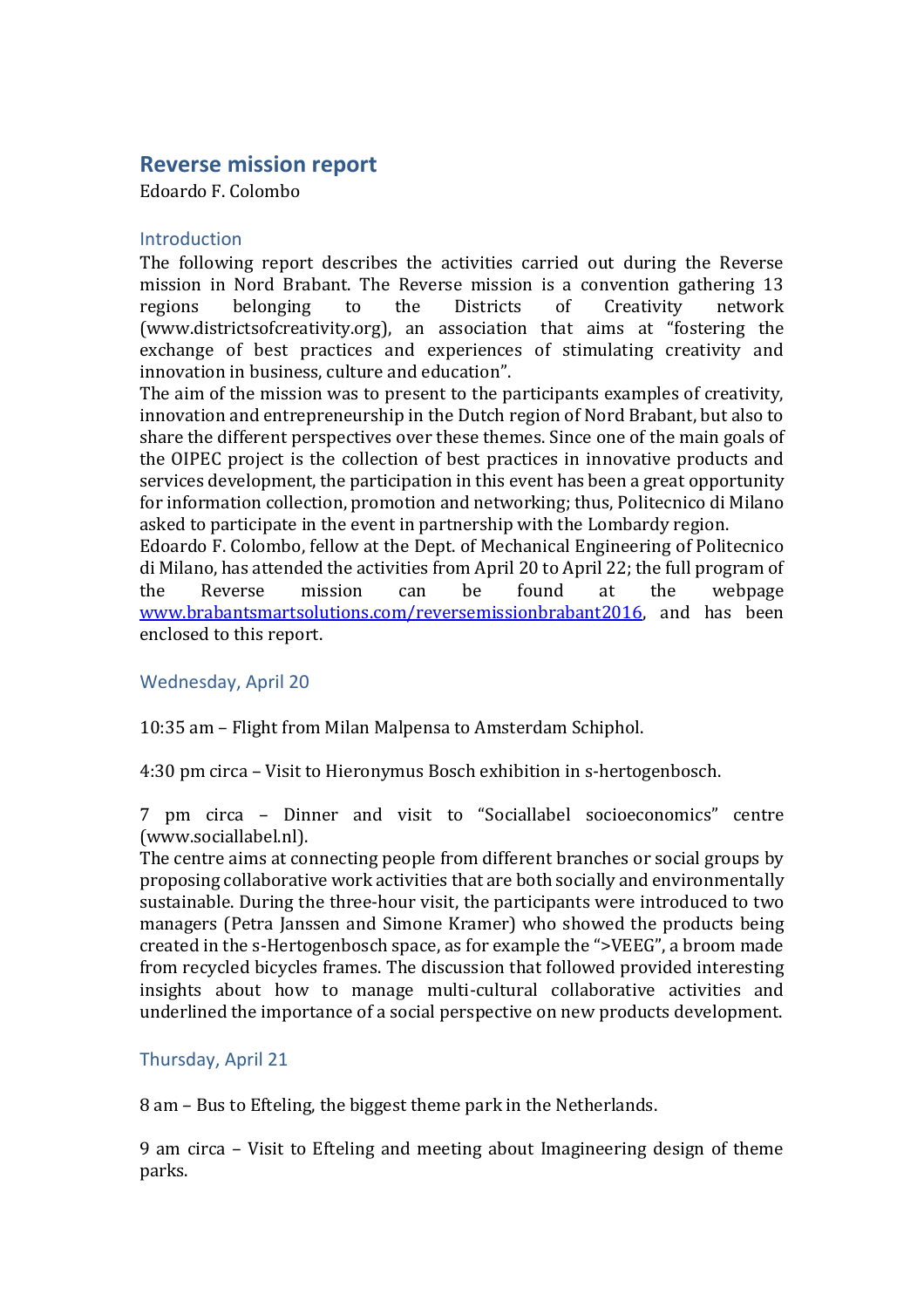# **Reverse mission report**

Edoardo F. Colombo

### Introduction

The following report describes the activities carried out during the Reverse mission in Nord Brabant. The Reverse mission is a convention gathering 13 regions belonging to the Districts of Creativity network (www.districtsofcreativity.org), an association that aims at "fostering the exchange of best practices and experiences of stimulating creativity and innovation in business, culture and education".

The aim of the mission was to present to the participants examples of creativity, innovation and entrepreneurship in the Dutch region of Nord Brabant, but also to share the different perspectives over these themes. Since one of the main goals of the OIPEC project is the collection of best practices in innovative products and services development, the participation in this event has been a great opportunity for information collection, promotion and networking; thus, Politecnico di Milano asked to participate in the event in partnership with the Lombardy region.

Edoardo F. Colombo, fellow at the Dept. of Mechanical Engineering of Politecnico di Milano, has attended the activities from April 20 to April 22; the full program of the Reverse mission can be found at the webpage [www.brabantsmartsolutions.com/reversemissionbrabant2016,](http://www.brabantsmartsolutions.com/reversemissionbrabant2016) and has been enclosed to this report.

Wednesday, April 20

10:35 am – Flight from Milan Malpensa to Amsterdam Schiphol.

4:30 pm circa – Visit to Hieronymus Bosch exhibition in s-hertogenbosch.

7 pm circa – Dinner and visit to "Sociallabel socioeconomics" centre (www.sociallabel.nl).

The centre aims at connecting people from different branches or social groups by proposing collaborative work activities that are both socially and environmentally sustainable. During the three-hour visit, the participants were introduced to two managers (Petra Janssen and Simone Kramer) who showed the products being created in the s-Hertogenbosch space, as for example the ">VEEG", a broom made from recycled bicycles frames. The discussion that followed provided interesting insights about how to manage multi-cultural collaborative activities and underlined the importance of a social perspective on new products development.

## Thursday, April 21

8 am – Bus to Efteling, the biggest theme park in the Netherlands.

9 am circa – Visit to Efteling and meeting about Imagineering design of theme parks.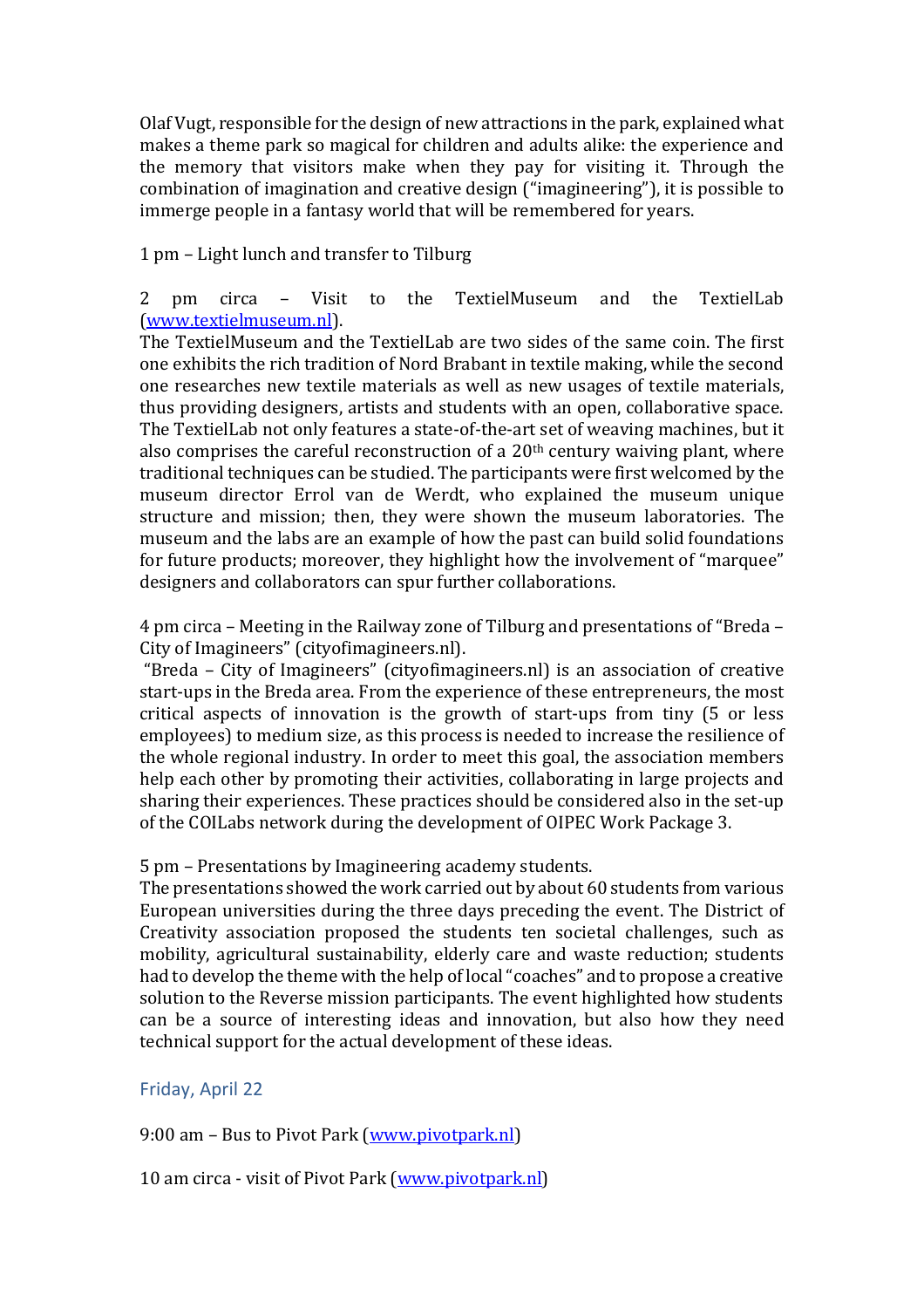Olaf Vugt, responsible for the design of new attractions in the park, explained what makes a theme park so magical for children and adults alike: the experience and the memory that visitors make when they pay for visiting it. Through the combination of imagination and creative design ("imagineering"), it is possible to immerge people in a fantasy world that will be remembered for years.

1 pm – Light lunch and transfer to Tilburg

2 pm circa – Visit to the TextielMuseum and the TextielLab [\(www.textielmuseum.nl\)](http://www.textielmuseum.nl/).

The TextielMuseum and the TextielLab are two sides of the same coin. The first one exhibits the rich tradition of Nord Brabant in textile making, while the second one researches new textile materials as well as new usages of textile materials, thus providing designers, artists and students with an open, collaborative space. The TextielLab not only features a state-of-the-art set of weaving machines, but it also comprises the careful reconstruction of a 20th century waiving plant, where traditional techniques can be studied. The participants were first welcomed by the museum director Errol van de Werdt, who explained the museum unique structure and mission; then, they were shown the museum laboratories. The museum and the labs are an example of how the past can build solid foundations for future products; moreover, they highlight how the involvement of "marquee" designers and collaborators can spur further collaborations.

4 pm circa – Meeting in the Railway zone of Tilburg and presentations of "Breda – City of Imagineers" (cityofimagineers.nl).

"Breda – City of Imagineers" (cityofimagineers.nl) is an association of creative start-ups in the Breda area. From the experience of these entrepreneurs, the most critical aspects of innovation is the growth of start-ups from tiny (5 or less employees) to medium size, as this process is needed to increase the resilience of the whole regional industry. In order to meet this goal, the association members help each other by promoting their activities, collaborating in large projects and sharing their experiences. These practices should be considered also in the set-up of the COILabs network during the development of OIPEC Work Package 3.

5 pm – Presentations by Imagineering academy students.

The presentations showed the work carried out by about 60 students from various European universities during the three days preceding the event. The District of Creativity association proposed the students ten societal challenges, such as mobility, agricultural sustainability, elderly care and waste reduction; students had to develop the theme with the help of local "coaches" and to propose a creative solution to the Reverse mission participants. The event highlighted how students can be a source of interesting ideas and innovation, but also how they need technical support for the actual development of these ideas.

## Friday, April 22

9:00 am - Bus to Pivot Park [\(www.pivotpark.nl\)](http://www.pivotpark.nl/)

10 am circa - visit of Pivot Park [\(www.pivotpark.nl\)](http://www.pivotpark.nl/)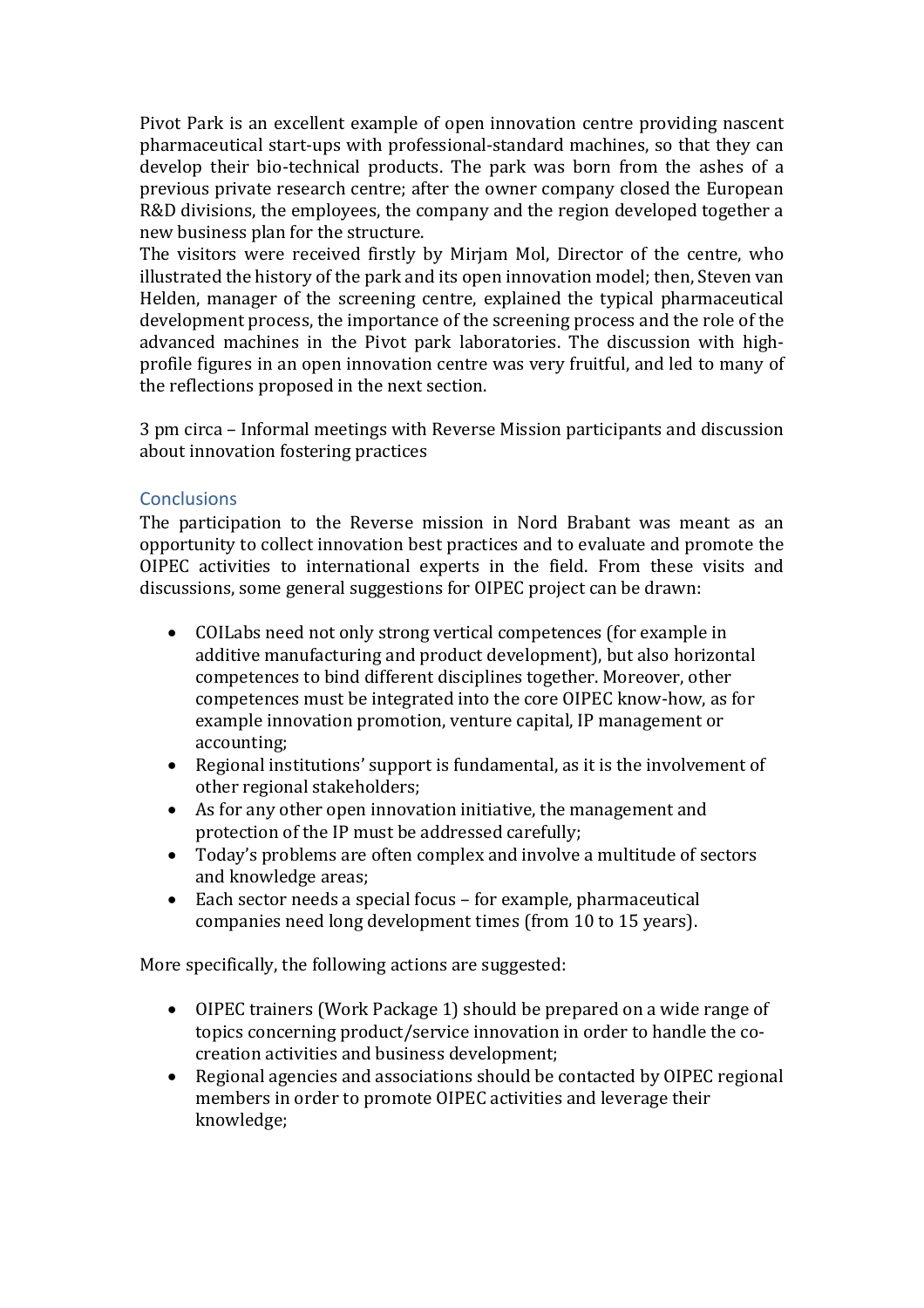Pivot Park is an excellent example of open innovation centre providing nascent pharmaceutical start-ups with professional-standard machines, so that they can develop their bio-technical products. The park was born from the ashes of a previous private research centre; after the owner company closed the European R&D divisions, the employees, the company and the region developed together a new business plan for the structure.

The visitors were received firstly by Mirjam Mol, Director of the centre, who illustrated the history of the park and its open innovation model; then, Steven van Helden, manager of the screening centre, explained the typical pharmaceutical development process, the importance of the screening process and the role of the advanced machines in the Pivot park laboratories. The discussion with highprofile figures in an open innovation centre was very fruitful, and led to many of the reflections proposed in the next section.

3 pm circa – Informal meetings with Reverse Mission participants and discussion about innovation fostering practices

## **Conclusions**

The participation to the Reverse mission in Nord Brabant was meant as an opportunity to collect innovation best practices and to evaluate and promote the OIPEC activities to international experts in the field. From these visits and discussions, some general suggestions for OIPEC project can be drawn:

- COILabs need not only strong vertical competences (for example in additive manufacturing and product development), but also horizontal competences to bind different disciplines together. Moreover, other competences must be integrated into the core OIPEC know-how, as for example innovation promotion, venture capital, IP management or accounting;
- Regional institutions' support is fundamental, as it is the involvement of other regional stakeholders;
- As for any other open innovation initiative, the management and protection of the IP must be addressed carefully;
- Today's problems are often complex and involve a multitude of sectors and knowledge areas;
- Each sector needs a special focus for example, pharmaceutical companies need long development times (from 10 to 15 years).

More specifically, the following actions are suggested:

- OIPEC trainers (Work Package 1) should be prepared on a wide range of topics concerning product/service innovation in order to handle the cocreation activities and business development;
- Regional agencies and associations should be contacted by OIPEC regional members in order to promote OIPEC activities and leverage their knowledge;